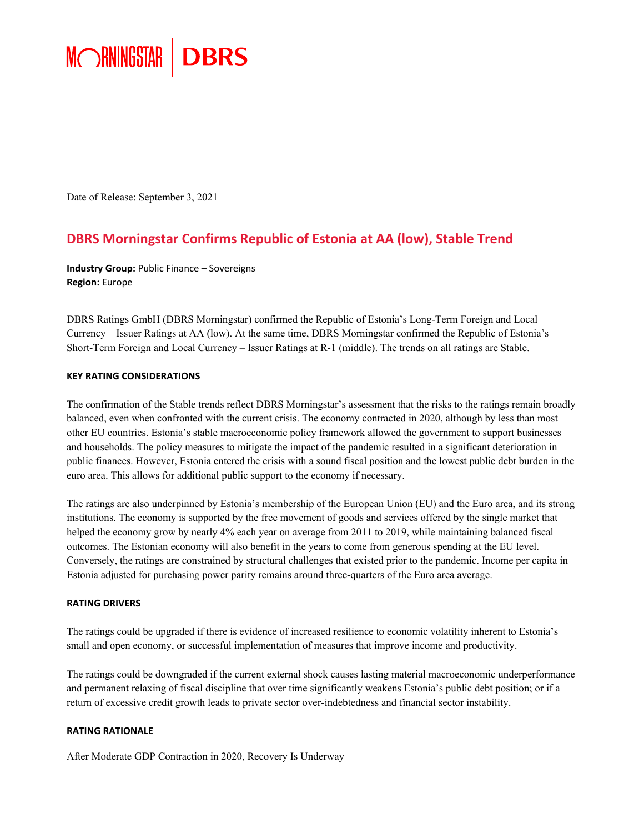

Date of Release: September 3, 2021

### **DBRS Morningstar Confirms Republic of Estonia at AA (low), Stable Trend**

**Industry Group:** Public Finance – Sovereigns **Region:** Europe

DBRS Ratings GmbH (DBRS Morningstar) confirmed the Republic of Estonia's Long-Term Foreign and Local Currency – Issuer Ratings at AA (low). At the same time, DBRS Morningstar confirmed the Republic of Estonia's Short-Term Foreign and Local Currency – Issuer Ratings at R-1 (middle). The trends on all ratings are Stable.

### **KEY RATING CONSIDERATIONS**

The confirmation of the Stable trends reflect DBRS Morningstar's assessment that the risks to the ratings remain broadly balanced, even when confronted with the current crisis. The economy contracted in 2020, although by less than most other EU countries. Estonia's stable macroeconomic policy framework allowed the government to support businesses and households. The policy measures to mitigate the impact of the pandemic resulted in a significant deterioration in public finances. However, Estonia entered the crisis with a sound fiscal position and the lowest public debt burden in the euro area. This allows for additional public support to the economy if necessary.

The ratings are also underpinned by Estonia's membership of the European Union (EU) and the Euro area, and its strong institutions. The economy is supported by the free movement of goods and services offered by the single market that helped the economy grow by nearly 4% each year on average from 2011 to 2019, while maintaining balanced fiscal outcomes. The Estonian economy will also benefit in the years to come from generous spending at the EU level. Conversely, the ratings are constrained by structural challenges that existed prior to the pandemic. Income per capita in Estonia adjusted for purchasing power parity remains around three-quarters of the Euro area average.

### **RATING DRIVERS**

The ratings could be upgraded if there is evidence of increased resilience to economic volatility inherent to Estonia's small and open economy, or successful implementation of measures that improve income and productivity.

The ratings could be downgraded if the current external shock causes lasting material macroeconomic underperformance and permanent relaxing of fiscal discipline that over time significantly weakens Estonia's public debt position; or if a return of excessive credit growth leads to private sector over-indebtedness and financial sector instability.

### **RATING RATIONALE**

After Moderate GDP Contraction in 2020, Recovery Is Underway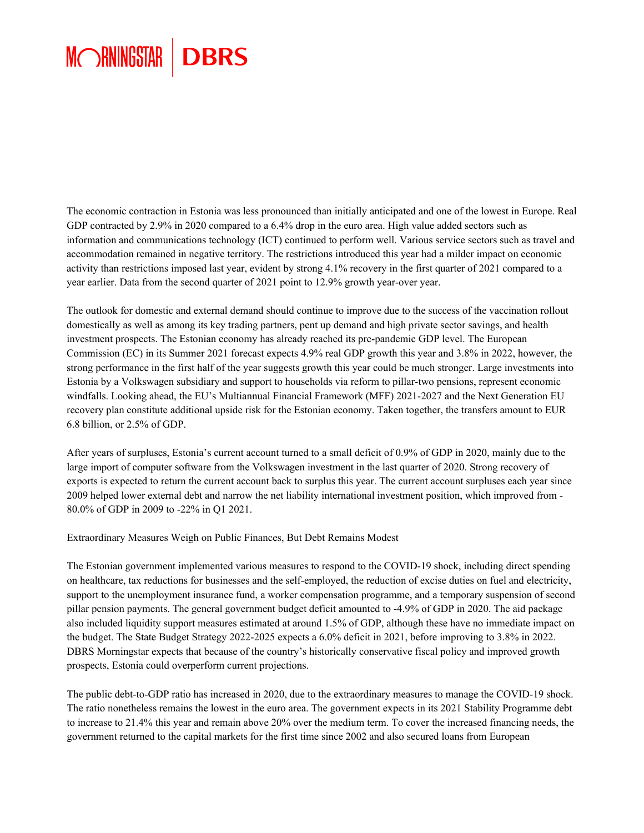### MORNINGSTAR **DBRS**

The economic contraction in Estonia was less pronounced than initially anticipated and one of the lowest in Europe. Real GDP contracted by 2.9% in 2020 compared to a 6.4% drop in the euro area. High value added sectors such as information and communications technology (ICT) continued to perform well. Various service sectors such as travel and accommodation remained in negative territory. The restrictions introduced this year had a milder impact on economic activity than restrictions imposed last year, evident by strong 4.1% recovery in the first quarter of 2021 compared to a year earlier. Data from the second quarter of 2021 point to 12.9% growth year-over year.

The outlook for domestic and external demand should continue to improve due to the success of the vaccination rollout domestically as well as among its key trading partners, pent up demand and high private sector savings, and health investment prospects. The Estonian economy has already reached its pre-pandemic GDP level. The European Commission (EC) in its Summer 2021 forecast expects 4.9% real GDP growth this year and 3.8% in 2022, however, the strong performance in the first half of the year suggests growth this year could be much stronger. Large investments into Estonia by a Volkswagen subsidiary and support to households via reform to pillar-two pensions, represent economic windfalls. Looking ahead, the EU's Multiannual Financial Framework (MFF) 2021-2027 and the Next Generation EU recovery plan constitute additional upside risk for the Estonian economy. Taken together, the transfers amount to EUR 6.8 billion, or 2.5% of GDP.

After years of surpluses, Estonia's current account turned to a small deficit of 0.9% of GDP in 2020, mainly due to the large import of computer software from the Volkswagen investment in the last quarter of 2020. Strong recovery of exports is expected to return the current account back to surplus this year. The current account surpluses each year since 2009 helped lower external debt and narrow the net liability international investment position, which improved from - 80.0% of GDP in 2009 to -22% in Q1 2021.

Extraordinary Measures Weigh on Public Finances, But Debt Remains Modest

The Estonian government implemented various measures to respond to the COVID-19 shock, including direct spending on healthcare, tax reductions for businesses and the self-employed, the reduction of excise duties on fuel and electricity, support to the unemployment insurance fund, a worker compensation programme, and a temporary suspension of second pillar pension payments. The general government budget deficit amounted to -4.9% of GDP in 2020. The aid package also included liquidity support measures estimated at around 1.5% of GDP, although these have no immediate impact on the budget. The State Budget Strategy 2022-2025 expects a 6.0% deficit in 2021, before improving to 3.8% in 2022. DBRS Morningstar expects that because of the country's historically conservative fiscal policy and improved growth prospects, Estonia could overperform current projections.

The public debt-to-GDP ratio has increased in 2020, due to the extraordinary measures to manage the COVID-19 shock. The ratio nonetheless remains the lowest in the euro area. The government expects in its 2021 Stability Programme debt to increase to 21.4% this year and remain above 20% over the medium term. To cover the increased financing needs, the government returned to the capital markets for the first time since 2002 and also secured loans from European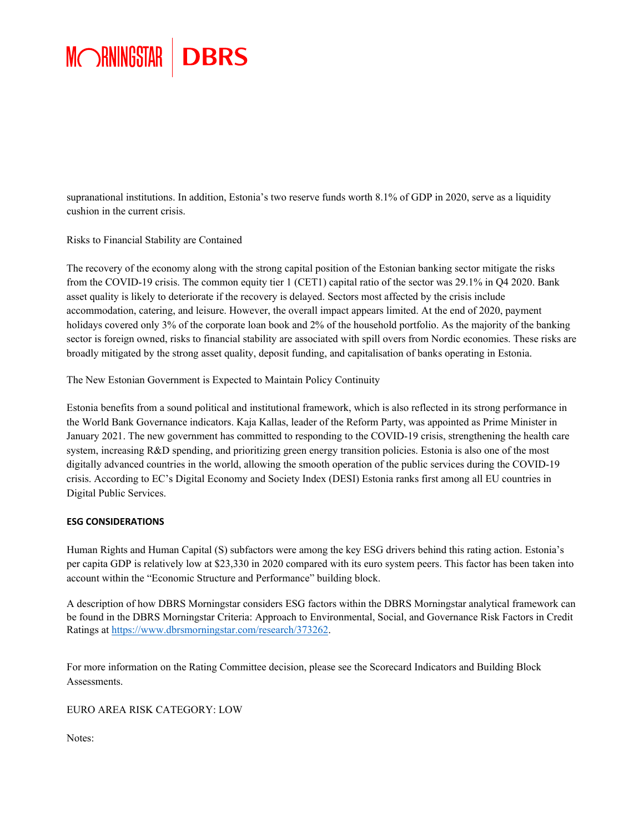

supranational institutions. In addition, Estonia's two reserve funds worth 8.1% of GDP in 2020, serve as a liquidity cushion in the current crisis.

Risks to Financial Stability are Contained

The recovery of the economy along with the strong capital position of the Estonian banking sector mitigate the risks from the COVID-19 crisis. The common equity tier 1 (CET1) capital ratio of the sector was 29.1% in Q4 2020. Bank asset quality is likely to deteriorate if the recovery is delayed. Sectors most affected by the crisis include accommodation, catering, and leisure. However, the overall impact appears limited. At the end of 2020, payment holidays covered only 3% of the corporate loan book and 2% of the household portfolio. As the majority of the banking sector is foreign owned, risks to financial stability are associated with spill overs from Nordic economies. These risks are broadly mitigated by the strong asset quality, deposit funding, and capitalisation of banks operating in Estonia.

The New Estonian Government is Expected to Maintain Policy Continuity

Estonia benefits from a sound political and institutional framework, which is also reflected in its strong performance in the World Bank Governance indicators. Kaja Kallas, leader of the Reform Party, was appointed as Prime Minister in January 2021. The new government has committed to responding to the COVID-19 crisis, strengthening the health care system, increasing R&D spending, and prioritizing green energy transition policies. Estonia is also one of the most digitally advanced countries in the world, allowing the smooth operation of the public services during the COVID-19 crisis. According to EC's Digital Economy and Society Index (DESI) Estonia ranks first among all EU countries in Digital Public Services.

### **ESG CONSIDERATIONS**

Human Rights and Human Capital (S) subfactors were among the key ESG drivers behind this rating action. Estonia's per capita GDP is relatively low at \$23,330 in 2020 compared with its euro system peers. This factor has been taken into account within the "Economic Structure and Performance" building block.

A description of how DBRS Morningstar considers ESG factors within the DBRS Morningstar analytical framework can be found in the DBRS Morningstar Criteria: Approach to Environmental, Social, and Governance Risk Factors in Credit Ratings at <https://www.dbrsmorningstar.com/research/373262>.

For more information on the Rating Committee decision, please see the Scorecard Indicators and Building Block Assessments.

EURO AREA RISK CATEGORY: LOW

Notes: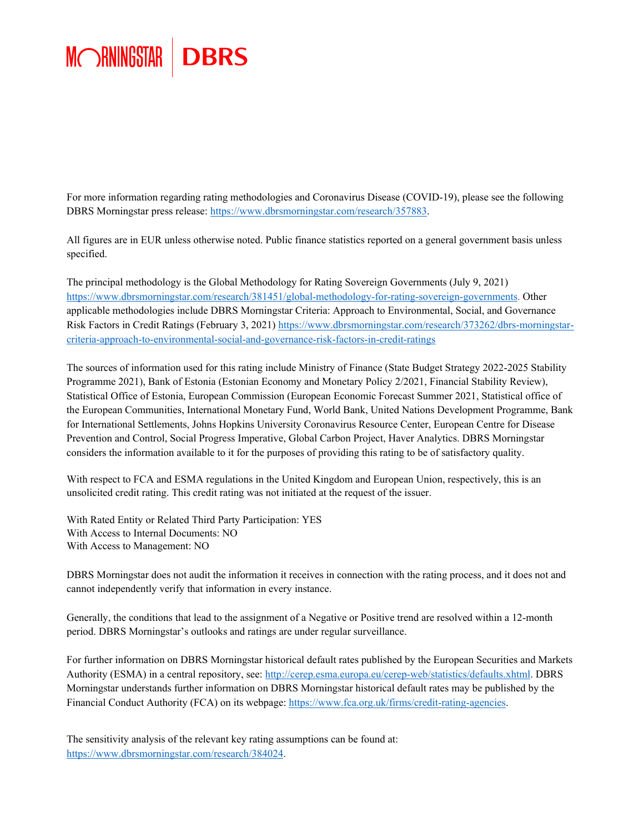## MORNINGSTAR | DBRS

For more information regarding rating methodologies and Coronavirus Disease (COVID-19), please see the following DBRS Morningstar press release: [https://www.dbrsmorningstar.com/researc](https://www.dbrsmorningstar.com/research/357883)h/357883.

All figures are in EUR unless otherwise noted. Public finance statistics reported on a general government basis unless specified.

The principal methodology is the Global Methodology for Rating Sovereign Governments (July 9, 2021) [https://www.dbrsmorningstar.com/research/381451/global-methodology-for-rating-sovereign-governments.](https://www.dbrsmorningstar.com/research/381451/global-methodology-for-rating-sovereign-governments) Other applicable methodologies include DBRS Morningstar Criteria: Approach to Environmental, Social, and Governance Risk Factors in Credit Ratings (February 3, 2021) [https://www.dbrsmorningstar.com/research/373262/dbrs](https://www.dbrsmorningstar.com/research/373262/dbrs-morningstar-criteria-approach-to-environmental-social-and-governance-risk-factors-in-credit-ratings)-morningstar[criteria-approach-to-environmental-social-and-governance-risk-factors-in-credit-ratings](https://www.dbrsmorningstar.com/research/373262/dbrs-morningstar-criteria-approach-to-environmental-social-and-governance-risk-factors-in-credit-ratings)

The sources of information used for this rating include Ministry of Finance (State Budget Strategy 2022-2025 Stability Programme 2021), Bank of Estonia (Estonian Economy and Monetary Policy 2/2021, Financial Stability Review), Statistical Office of Estonia, European Commission (European Economic Forecast Summer 2021, Statistical office of the European Communities, International Monetary Fund, World Bank, United Nations Development Programme, Bank for International Settlements, Johns Hopkins University Coronavirus Resource Center, European Centre for Disease Prevention and Control, Social Progress Imperative, Global Carbon Project, Haver Analytics. DBRS Morningstar considers the information available to it for the purposes of providing this rating to be of satisfactory quality.

With respect to FCA and ESMA regulations in the United Kingdom and European Union, respectively, this is an unsolicited credit rating. This credit rating was not initiated at the request of the issuer.

With Rated Entity or Related Third Party Participation: YES With Access to Internal Documents: NO With Access to Management: NO

DBRS Morningstar does not audit the information it receives in connection with the rating process, and it does not and cannot independently verify that information in every instance.

Generally, the conditions that lead to the assignment of a Negative or Positive trend are resolved within a 12-month period. DBRS Morningstar's outlooks and ratings are under regular surveillance.

For further information on DBRS Morningstar historical default rates published by the European Securities and Markets Authority (ESMA) in a central repository, see: [http://cerep.esma.europa.eu/cerep-web/statistics/defaults.xhtml.](http://cerep.esma.europa.eu/cerep-web/statistics/defaults.xhtml) DBRS Morningstar understands further information on DBRS Morningstar historical default rates may be published by the Financial Conduct Authority (FCA) on its webpage[: https://www.fca.org.uk/firms/credit-rating-agencies.](https://www.fca.org.uk/firms/credit-rating-agencies)

The sensitivity analysis of the relevant key rating assumptions can be found at: [https://www.dbrsmorningstar.com/research/384024.](https://www.dbrsmorningstar.com/research/384024)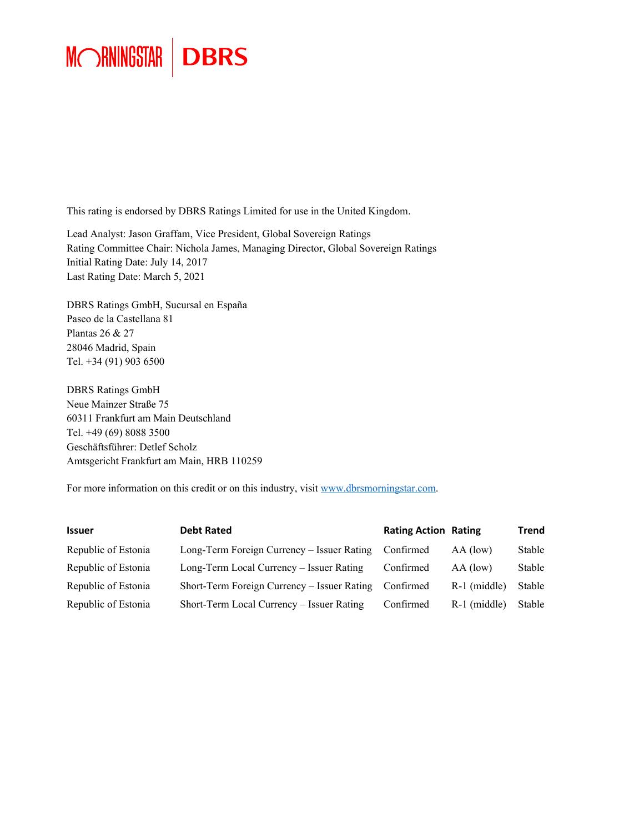# MORNINGSTAR | DBRS

This rating is endorsed by DBRS Ratings Limited for use in the United Kingdom.

Lead Analyst: Jason Graffam, Vice President, Global Sovereign Ratings Rating Committee Chair: Nichola James, Managing Director, Global Sovereign Ratings Initial Rating Date: July 14, 2017 Last Rating Date: March 5, 2021

DBRS Ratings GmbH, Sucursal en España Paseo de la Castellana 81 Plantas 26 & 27 28046 Madrid, Spain Tel. +34 (91) 903 6500

DBRS Ratings GmbH Neue Mainzer Straße 75 60311 Frankfurt am Main Deutschland Tel. +49 (69) 8088 3500 Geschäftsführer: Detlef Scholz Amtsgericht Frankfurt am Main, HRB 110259

For more information on this credit or on this industry, visit [www.dbrsmorningstar.com.](http://www.dbrsmorningstar.com/)

| <b>Issuer</b>       | <b>Debt Rated</b>                           | <b>Rating Action Rating</b> |                | <b>Trend</b> |
|---------------------|---------------------------------------------|-----------------------------|----------------|--------------|
| Republic of Estonia | Long-Term Foreign Currency – Issuer Rating  | Confirmed                   | AA (low)       | Stable       |
| Republic of Estonia | Long-Term Local Currency – Issuer Rating    | Confirmed                   | AA (low)       | Stable       |
| Republic of Estonia | Short-Term Foreign Currency – Issuer Rating | Confirmed                   | $R-1$ (middle) | Stable       |
| Republic of Estonia | Short-Term Local Currency – Issuer Rating   | Confirmed                   | $R-1$ (middle) | Stable       |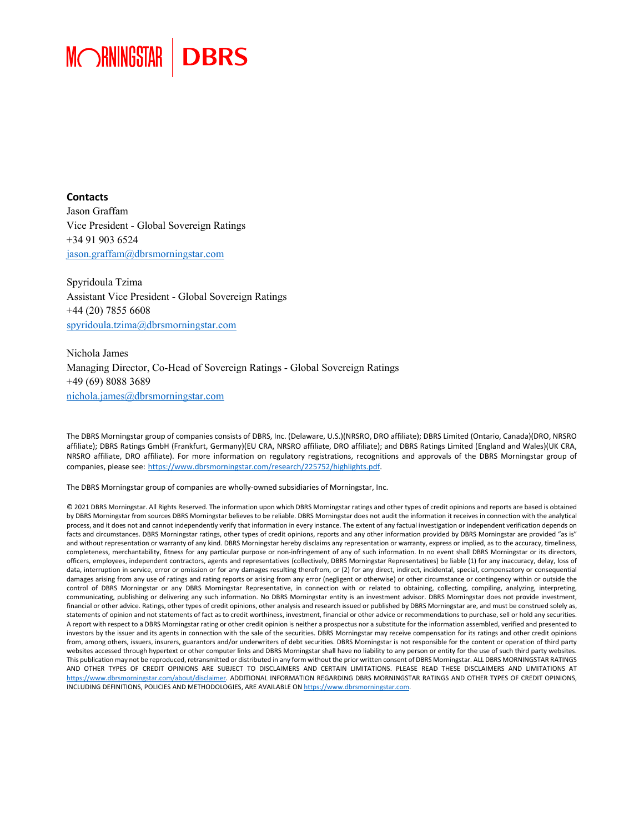

**Contacts** Jason Graffam Vice President - Global Sovereign Ratings +34 91 903 6524 jason.graffam@dbrsmorningstar.com

Spyridoula Tzima Assistant Vice President - Global Sovereign Ratings +44 (20) 7855 6608 spyridoula.tzima@dbrsmorningstar.com

Nichola James Managing Director, Co-Head of Sovereign Ratings - Global Sovereign Ratings +49 (69) 8088 3689 [nichola.james@dbrsmorningstar.com](mailto:nichola.james@dbrsmorningstar.com)

The DBRS Morningstar group of companies consists of DBRS, Inc. (Delaware, U.S.)(NRSRO, DRO affiliate); DBRS Limited (Ontario, Canada)(DRO, NRSRO affiliate); DBRS Ratings GmbH (Frankfurt, Germany)(EU CRA, NRSRO affiliate, DRO affiliate); and DBRS Ratings Limited (England and Wales)(UK CRA, NRSRO affiliate, DRO affiliate). For more information on regulatory registrations, recognitions and approvals of the DBRS Morningstar group of companies, please see: [https://www.dbrsmorningstar.com/research/225752/highlights.pdf.](https://www.dbrsmorningstar.com/research/225752/highlights.pdf) 

The DBRS Morningstar group of companies are wholly-owned subsidiaries of Morningstar, Inc.

© 2021 DBRS Morningstar. All Rights Reserved. The information upon which DBRS Morningstar ratings and other types of credit opinions and reports are based is obtained by DBRS Morningstar from sources DBRS Morningstar believes to be reliable. DBRS Morningstar does not audit the information it receives in connection with the analytical process, and it does not and cannot independently verify that information in every instance. The extent of any factual investigation or independent verification depends on facts and circumstances. DBRS Morningstar ratings, other types of credit opinions, reports and any other information provided by DBRS Morningstar are provided "as is" and without representation or warranty of any kind. DBRS Morningstar hereby disclaims any representation or warranty, express or implied, as to the accuracy, timeliness, completeness, merchantability, fitness for any particular purpose or non-infringement of any of such information. In no event shall DBRS Morningstar or its directors, officers, employees, independent contractors, agents and representatives (collectively, DBRS Morningstar Representatives) be liable (1) for any inaccuracy, delay, loss of data, interruption in service, error or omission or for any damages resulting therefrom, or (2) for any direct, indirect, incidental, special, compensatory or consequential damages arising from any use of ratings and rating reports or arising from any error (negligent or otherwise) or other circumstance or contingency within or outside the control of DBRS Morningstar or any DBRS Morningstar Representative, in connection with or related to obtaining, collecting, compiling, analyzing, interpreting, communicating, publishing or delivering any such information. No DBRS Morningstar entity is an investment advisor. DBRS Morningstar does not provide investment, financial or other advice. Ratings, other types of credit opinions, other analysis and research issued or published by DBRS Morningstar are, and must be construed solely as, statements of opinion and not statements of fact as to credit worthiness, investment, financial or other advice or recommendations to purchase, sell or hold any securities. A report with respect to a DBRS Morningstar rating or other credit opinion is neither a prospectus nor a substitute for the information assembled, verified and presented to investors by the issuer and its agents in connection with the sale of the securities. DBRS Morningstar may receive compensation for its ratings and other credit opinions from, among others, issuers, insurers, guarantors and/or underwriters of debt securities. DBRS Morningstar is not responsible for the content or operation of third party websites accessed through hypertext or other computer links and DBRS Morningstar shall have no liability to any person or entity for the use of such third party websites. This publication may not be reproduced, retransmitted or distributed in any form without the prior written consent of DBRS Morningstar. ALL DBRS MORNINGSTAR RATINGS AND OTHER TYPES OF CREDIT OPINIONS ARE SUBJECT TO DISCLAIMERS AND CERTAIN LIMITATIONS. PLEASE READ THESE DISCLAIMERS AND LIMITATIONS AT [https://www.dbrsmorningstar.com/about/disclaimer.](https://www.dbrsmorningstar.com/about/disclaimer) ADDITIONAL INFORMATION REGARDING DBRS MORNINGSTAR RATINGS AND OTHER TYPES OF CREDIT OPINIONS, INCLUDING DEFINITIONS, POLICIES AND METHODOLOGIES, ARE AVAILABLE ON https://www.dbrsmorningstar.com.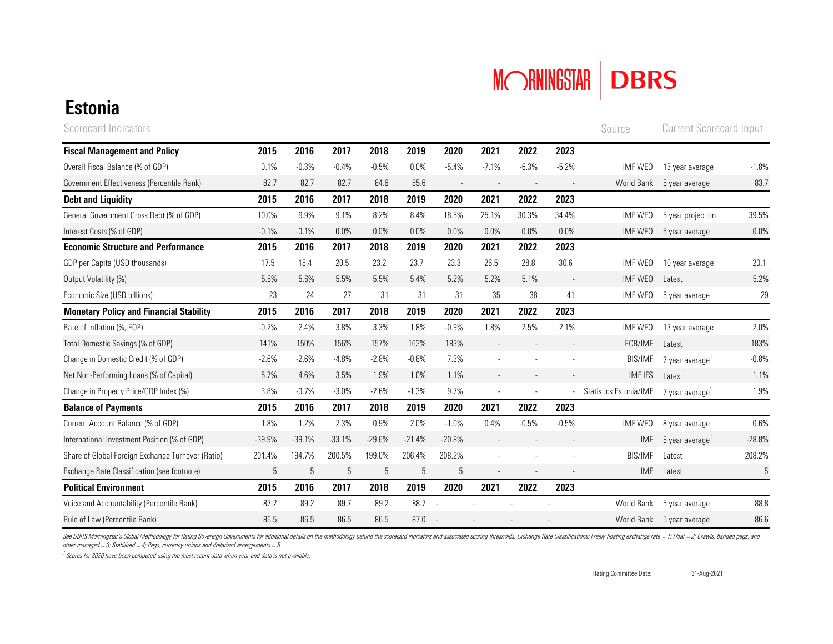

Source

## Estonia

Scorecard Indicators **Current Scorecard Input** Source Current Scorecard Input

| <b>Fiscal Management and Policy</b>               | 2015     | 2016       | 2017     | 2018        | 2019     | 2020     | 2021    | 2022    | 2023    |                        |                     |          |
|---------------------------------------------------|----------|------------|----------|-------------|----------|----------|---------|---------|---------|------------------------|---------------------|----------|
| Overall Fiscal Balance (% of GDP)                 | 0.1%     | $-0.3%$    | $-0.4%$  | $-0.5%$     | 0.0%     | $-5.4%$  | $-7.1%$ | $-6.3%$ | $-5.2%$ | IMF WEO                | 13 year average     | $-1.8%$  |
| Government Effectiveness (Percentile Rank)        | 82.7     | 82.7       | 82.7     | 84.6        | 85.6     |          |         |         |         | World Bank             | 5 year average      | 83.7     |
| <b>Debt and Liquidity</b>                         | 2015     | 2016       | 2017     | 2018        | 2019     | 2020     | 2021    | 2022    | 2023    |                        |                     |          |
| General Government Gross Debt (% of GDP)          | 10.0%    | 9.9%       | 9.1%     | 8.2%        | 8.4%     | 18.5%    | 25.1%   | 30.3%   | 34.4%   | IMF WEO                | 5 year projection   | 39.5%    |
| Interest Costs (% of GDP)                         | $-0.1%$  | $-0.1%$    | 0.0%     | 0.0%        | 0.0%     | 0.0%     | 0.0%    | 0.0%    | 0.0%    | IMF WEO                | 5 year average      | 0.0%     |
| <b>Economic Structure and Performance</b>         | 2015     | 2016       | 2017     | 2018        | 2019     | 2020     | 2021    | 2022    | 2023    |                        |                     |          |
| GDP per Capita (USD thousands)                    | 17.5     | 18.4       | 20.5     | 23.2        | 23.7     | 23.3     | 26.5    | 28.8    | 30.6    | IMF WEO                | 10 year average     | 20.1     |
| Output Volatility (%)                             | 5.6%     | 5.6%       | 5.5%     | 5.5%        | 5.4%     | 5.2%     | 5.2%    | 5.1%    |         | IMF WEO                | Latest              | 5.2%     |
| Economic Size (USD billions)                      | 23       | 24         | 27       | 31          | 31       | 31       | 35      | 38      | 41      | IMF WEO                | 5 year average      | 29       |
| <b>Monetary Policy and Financial Stability</b>    | 2015     | 2016       | 2017     | 2018        | 2019     | 2020     | 2021    | 2022    | 2023    |                        |                     |          |
| Rate of Inflation (%, EOP)                        | $-0.2%$  | 2.4%       | 3.8%     | 3.3%        | 1.8%     | $-0.9%$  | 1.8%    | 2.5%    | 2.1%    | IMF WEO                | 13 year average     | 2.0%     |
| Total Domestic Savings (% of GDP)                 | 141%     | 150%       | 156%     | 157%        | 163%     | 183%     |         |         |         | ECB/IMF                | Latest <sup>1</sup> | 183%     |
| Change in Domestic Credit (% of GDP)              | $-2.6%$  | $-2.6%$    | $-4.8%$  | $-2.8%$     | $-0.8%$  | 7.3%     |         |         |         | <b>BIS/IMF</b>         | 7 year average      | $-0.8%$  |
| Net Non-Performing Loans (% of Capital)           | 5.7%     | 4.6%       | 3.5%     | 1.9%        | 1.0%     | 1.1%     |         |         |         | <b>IMF IFS</b>         | Latest <sup>1</sup> | 1.1%     |
| Change in Property Price/GDP Index (%)            | 3.8%     | $-0.7%$    | $-3.0%$  | $-2.6%$     | $-1.3%$  | 9.7%     |         |         |         | Statistics Estonia/IMF | 7 year average'     | 1.9%     |
| <b>Balance of Payments</b>                        | 2015     | 2016       | 2017     | 2018        | 2019     | 2020     | 2021    | 2022    | 2023    |                        |                     |          |
| Current Account Balance (% of GDP)                | 1.8%     | 1.2%       | 2.3%     | 0.9%        | 2.0%     | $-1.0%$  | 0.4%    | $-0.5%$ | $-0.5%$ | IMF WEO                | 8 year average      | 0.6%     |
| International Investment Position (% of GDP)      | $-39.9%$ | $-39.1%$   | $-33.1%$ | $-29.6%$    | $-21.4%$ | $-20.8%$ |         |         |         | IMF                    | 5 year average      | $-28.8%$ |
| Share of Global Foreign Exchange Turnover (Ratio) | 201.4%   | 194.7%     | 200.5%   | 199.0%      | 206.4%   | 208.2%   |         |         |         | <b>BIS/IMF</b>         | Latest              | 208.2%   |
| Exchange Rate Classification (see footnote)       | 5        | $\sqrt{5}$ | 5        | $\mathbf 5$ | 5        | 5        |         |         |         | <b>IMF</b>             | Latest              | 5        |
| <b>Political Environment</b>                      | 2015     | 2016       | 2017     | 2018        | 2019     | 2020     | 2021    | 2022    | 2023    |                        |                     |          |
| Voice and Accountability (Percentile Rank)        | 87.2     | 89.2       | 89.7     | 89.2        | 88.7     |          |         |         |         | World Bank             | 5 year average      | 88.8     |
| Rule of Law (Percentile Rank)                     | 86.5     | 86.5       | 86.5     | 86.5        | 87.0     |          |         |         |         | World Bank             | 5 year average      | 86.6     |

See DBRS Morningstar's Global Methodology for Rating Sovereign Governments for additional details on the methodology behind the scorecard indicators and associated scoring thresholds. Exchange Rate Classifications: Freely *other managed = 3; Stabilized = 4; Pegs, currency unions and dollarized arrangements = 5.* 

*1 Scores for 2020 have been computed using the most recent data when year-end data is not available.*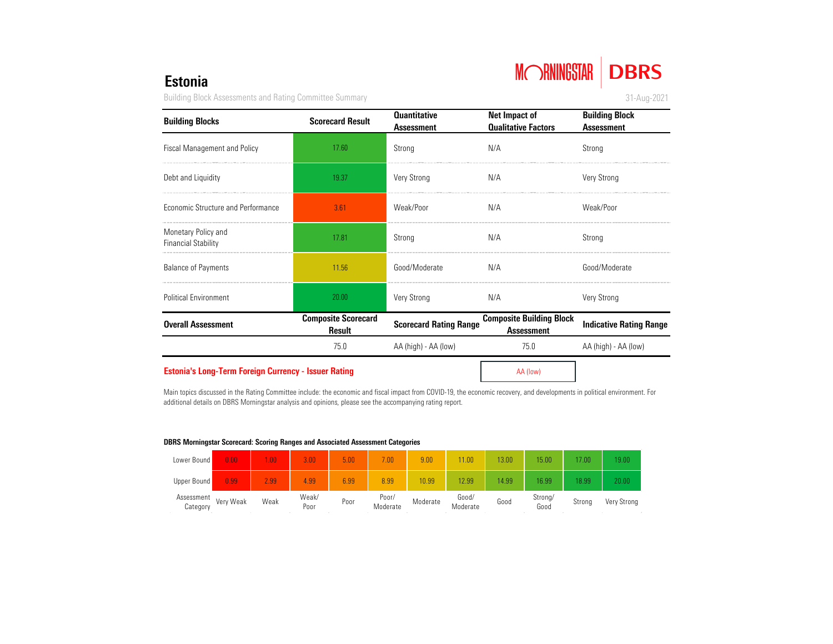# MORNINGSTAR DBRS

31-Aug-2021

### Estonia

Building Block Assessments and Rating Committee Summary

| <b>Building Blocks</b>                                      | <b>Scorecard Result</b>                     | <b>Quantitative</b><br><b>Assessment</b> | Net Impact of<br><b>Qualitative Factors</b>          | <b>Building Block</b><br><b>Assessment</b> |  |  |
|-------------------------------------------------------------|---------------------------------------------|------------------------------------------|------------------------------------------------------|--------------------------------------------|--|--|
| <b>Fiscal Management and Policy</b>                         | 17.60                                       | Strong                                   | N/A                                                  | Strong                                     |  |  |
| Debt and Liquidity                                          | 19.37                                       | <b>Very Strong</b>                       | N/A                                                  | <b>Very Strong</b>                         |  |  |
| Economic Structure and Performance                          | 3.61                                        | Weak/Poor                                | N/A                                                  | Weak/Poor                                  |  |  |
| Monetary Policy and<br><b>Financial Stability</b>           | 17.81                                       | Strong                                   | N/A                                                  | Strong                                     |  |  |
| <b>Balance of Payments</b>                                  | 11.56                                       | Good/Moderate                            | N/A                                                  | Good/Moderate                              |  |  |
| <b>Political Environment</b>                                | 20.00                                       | <b>Very Strong</b>                       | N/A                                                  | <b>Very Strong</b>                         |  |  |
| <b>Overall Assessment</b>                                   | <b>Composite Scorecard</b><br><b>Result</b> | <b>Scorecard Rating Range</b>            | <b>Composite Building Block</b><br><b>Assessment</b> | <b>Indicative Rating Range</b>             |  |  |
|                                                             | 75.0                                        | AA (high) - AA (low)                     | 75.0                                                 | AA (high) - AA (low)                       |  |  |
| <b>Estonia's Long-Term Foreign Currency - Issuer Rating</b> |                                             |                                          | AA (low)                                             |                                            |  |  |

Main topics discussed in the Rating Committee include: the economic and fiscal impact from COVID-19, the economic recovery, and developments in political environment. For additional details on DBRS Morningstar analysis and opinions, please see the accompanying rating report.

### DBRS Morningstar Scorecard: Scoring Ranges and Associated Assessment Categories

| Lower Bound            | 0.00      | $\sqrt{00}$ | 3.00          | 5.00 | .00               | 9.00     | 1.00              | 13.00 | 15.00           | 17.00  | 19.00       |
|------------------------|-----------|-------------|---------------|------|-------------------|----------|-------------------|-------|-----------------|--------|-------------|
| Upper Bound            | 0.99      | 2.99        | 4.99          | 6.99 | 8.99              | 10.99    | 2.99              | 14.99 | 16.99           | 18.99  | 20.00       |
| Assessment<br>Category | Very Weak | Weak        | Weak/<br>Poor | Poor | Poor/<br>Moderate | Moderate | Good/<br>Moderate | Good  | Strong/<br>Good | Strong | Very Strong |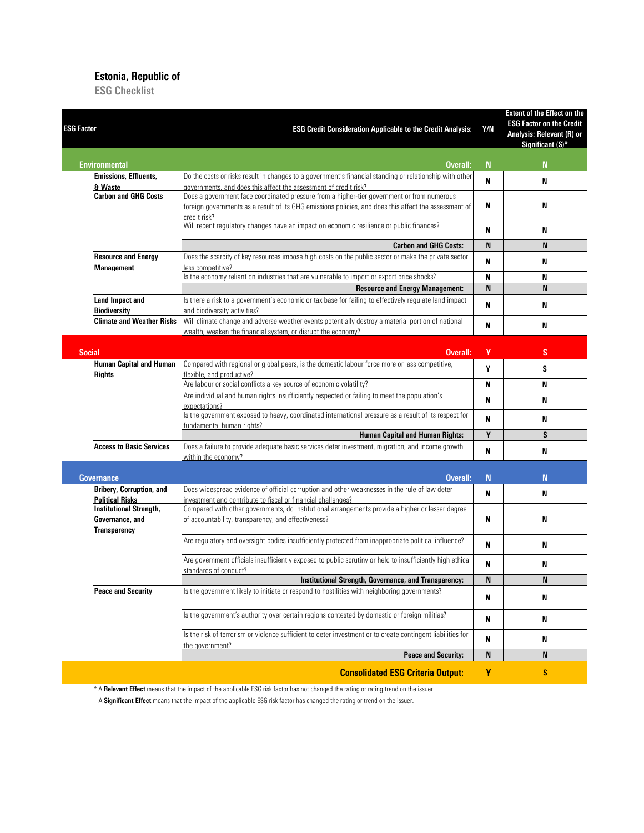### Estonia, Republic of

ESG Checklist

| <b>ESG Factor</b>                                                        | <b>ESG Credit Consideration Applicable to the Credit Analysis:</b>                                                                                                                                                  | Y/N         | <b>Extent of the Effect on the</b><br><b>ESG Factor on the Credit</b><br>Analysis: Relevant (R) or<br>Significant (S)* |
|--------------------------------------------------------------------------|---------------------------------------------------------------------------------------------------------------------------------------------------------------------------------------------------------------------|-------------|------------------------------------------------------------------------------------------------------------------------|
| <b>Environmental</b>                                                     | Overall:                                                                                                                                                                                                            | $\mathbf N$ | $\mathbf N$                                                                                                            |
| <b>Emissions, Effluents,</b>                                             | Do the costs or risks result in changes to a government's financial standing or relationship with other                                                                                                             | N           | N                                                                                                                      |
| & Waste                                                                  | governments, and does this affect the assessment of credit risk?                                                                                                                                                    |             |                                                                                                                        |
| <b>Carbon and GHG Costs</b>                                              | Does a government face coordinated pressure from a higher-tier government or from numerous<br>foreign governments as a result of its GHG emissions policies, and does this affect the assessment of<br>credit risk? | N           | N                                                                                                                      |
|                                                                          | Will recent regulatory changes have an impact on economic resilience or public finances?                                                                                                                            | N           | N                                                                                                                      |
|                                                                          | <b>Carbon and GHG Costs:</b>                                                                                                                                                                                        | N           | N                                                                                                                      |
| <b>Resource and Energy</b><br><b>Management</b>                          | Does the scarcity of key resources impose high costs on the public sector or make the private sector<br>less competitive?                                                                                           | N           | N                                                                                                                      |
|                                                                          | Is the economy reliant on industries that are vulnerable to import or export price shocks?                                                                                                                          | N           | N                                                                                                                      |
|                                                                          | <b>Resource and Energy Management:</b>                                                                                                                                                                              | N           | N                                                                                                                      |
| <b>Land Impact and</b><br><b>Biodiversity</b>                            | Is there a risk to a government's economic or tax base for failing to effectively regulate land impact<br>and biodiversity activities?                                                                              | N           | N                                                                                                                      |
| <b>Climate and Weather Risks</b>                                         | Will climate change and adverse weather events potentially destroy a material portion of national<br>wealth, weaken the financial system, or disrupt the economy?                                                   | N           | N                                                                                                                      |
| <b>Social</b>                                                            | Overall:                                                                                                                                                                                                            | Y           | S                                                                                                                      |
| <b>Human Capital and Human</b>                                           | Compared with regional or global peers, is the domestic labour force more or less competitive,                                                                                                                      |             |                                                                                                                        |
| <b>Rights</b>                                                            | flexible, and productive?<br>Are labour or social conflicts a key source of economic volatility?                                                                                                                    | Y<br>N      | S<br>N                                                                                                                 |
|                                                                          | Are individual and human rights insufficiently respected or failing to meet the population's                                                                                                                        |             |                                                                                                                        |
|                                                                          | expectations?<br>Is the government exposed to heavy, coordinated international pressure as a result of its respect for                                                                                              | N           | N                                                                                                                      |
|                                                                          | fundamental human rights?                                                                                                                                                                                           | N           | N                                                                                                                      |
|                                                                          | <b>Human Capital and Human Rights:</b>                                                                                                                                                                              | $\mathbf Y$ | S                                                                                                                      |
| <b>Access to Basic Services</b>                                          | Does a failure to provide adequate basic services deter investment, migration, and income growth<br>within the economy?                                                                                             | N           | N                                                                                                                      |
| <b>Governance</b>                                                        | Overall:                                                                                                                                                                                                            | N           | N                                                                                                                      |
| <b>Bribery, Corruption, and</b><br><b>Political Risks</b>                | Does widespread evidence of official corruption and other weaknesses in the rule of law deter<br>investment and contribute to fiscal or financial challenges?                                                       | N           | N                                                                                                                      |
| <b>Institutional Strength,</b><br>Governance, and<br><b>Transparency</b> | Compared with other governments, do institutional arrangements provide a higher or lesser degree<br>of accountability, transparency, and effectiveness?                                                             | N           | N                                                                                                                      |
|                                                                          | Are regulatory and oversight bodies insufficiently protected from inappropriate political influence?                                                                                                                | N           | N                                                                                                                      |
|                                                                          | Are government officials insufficiently exposed to public scrutiny or held to insufficiently high ethical<br>standards of conduct?                                                                                  | N           | N                                                                                                                      |
|                                                                          | Institutional Strength, Governance, and Transparency:                                                                                                                                                               | N           | N                                                                                                                      |
| <b>Peace and Security</b>                                                | Is the government likely to initiate or respond to hostilities with neighboring governments?                                                                                                                        | N           | N                                                                                                                      |
|                                                                          | Is the government's authority over certain regions contested by domestic or foreign militias?                                                                                                                       | N           | N                                                                                                                      |
|                                                                          | Is the risk of terrorism or violence sufficient to deter investment or to create contingent liabilities for<br>the government?                                                                                      | N           | N                                                                                                                      |
|                                                                          | <b>Peace and Security:</b>                                                                                                                                                                                          | N           | N                                                                                                                      |
|                                                                          | <b>Consolidated ESG Criteria Output:</b>                                                                                                                                                                            | Y           | $\mathbf{s}$                                                                                                           |

\* A Relevant Effect means that the impact of the applicable ESG risk factor has not changed the rating or rating trend on the issuer.

A Significant Effect means that the impact of the applicable ESG risk factor has changed the rating or trend on the issuer.